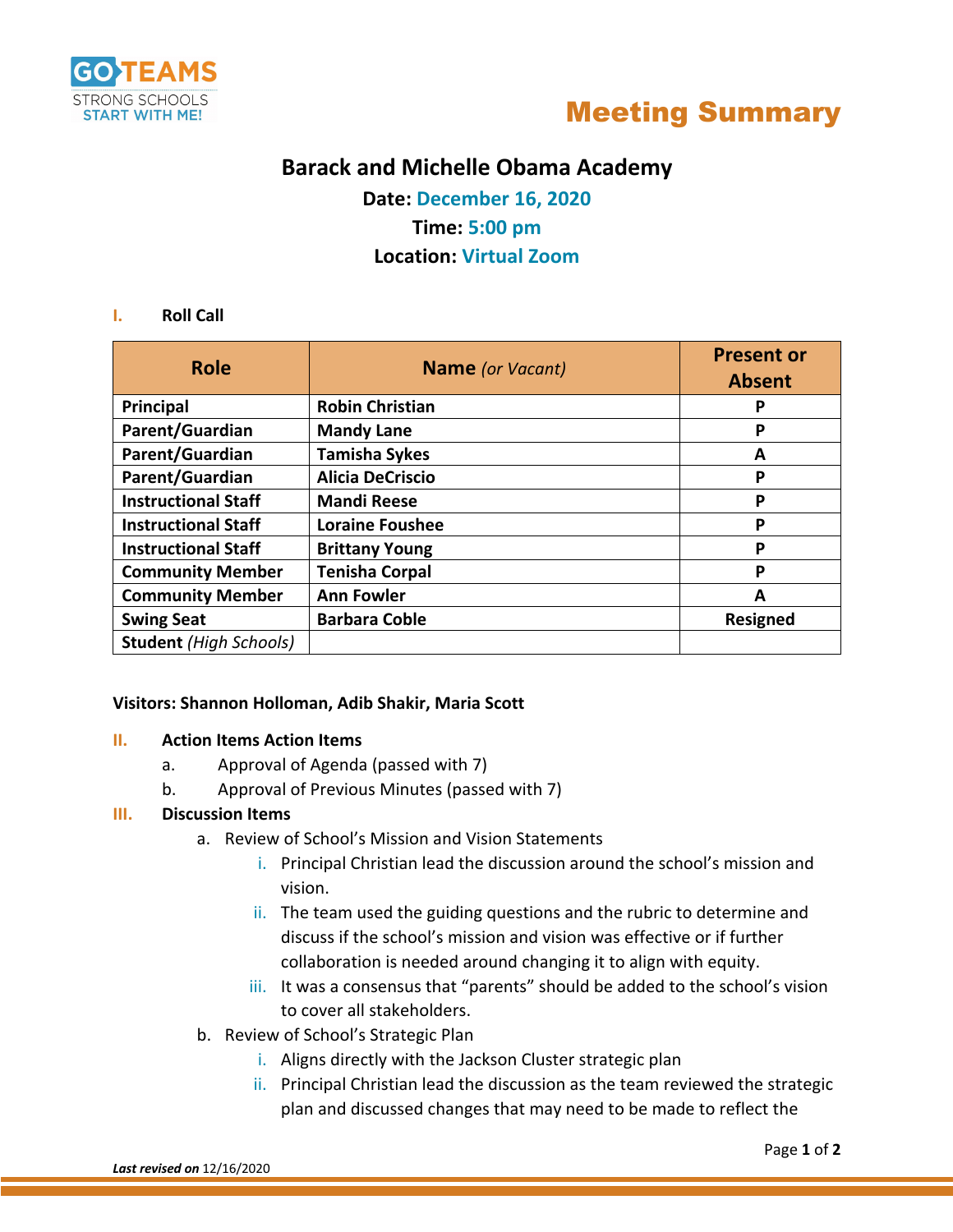



## **Barack and Michelle Obama Academy**

**Date: December 16, 2020 Time: 5:00 pm**

### **Location: Virtual Zoom**

#### **I. Roll Call**

| <b>Role</b>                   | <b>Name</b> (or Vacant) | <b>Present or</b> |
|-------------------------------|-------------------------|-------------------|
|                               |                         | <b>Absent</b>     |
| Principal                     | <b>Robin Christian</b>  | Р                 |
| Parent/Guardian               | <b>Mandy Lane</b>       | Ρ                 |
| Parent/Guardian               | <b>Tamisha Sykes</b>    | А                 |
| Parent/Guardian               | <b>Alicia DeCriscio</b> | Ρ                 |
| <b>Instructional Staff</b>    | <b>Mandi Reese</b>      | P                 |
| <b>Instructional Staff</b>    | <b>Loraine Foushee</b>  | Ρ                 |
| <b>Instructional Staff</b>    | <b>Brittany Young</b>   | Ρ                 |
| <b>Community Member</b>       | <b>Tenisha Corpal</b>   | Ρ                 |
| <b>Community Member</b>       | <b>Ann Fowler</b>       | А                 |
| <b>Swing Seat</b>             | <b>Barbara Coble</b>    | <b>Resigned</b>   |
| <b>Student</b> (High Schools) |                         |                   |

#### **Visitors: Shannon Holloman, Adib Shakir, Maria Scott**

#### **II. Action Items Action Items**

- a. Approval of Agenda (passed with 7)
- b. Approval of Previous Minutes (passed with 7)

#### **III. Discussion Items**

- a. Review of School's Mission and Vision Statements
	- i. Principal Christian lead the discussion around the school's mission and vision.
	- ii. The team used the guiding questions and the rubric to determine and discuss if the school's mission and vision was effective or if further collaboration is needed around changing it to align with equity.
	- iii. It was a consensus that "parents" should be added to the school's vision to cover all stakeholders.
- b. Review of School's Strategic Plan
	- i. Aligns directly with the Jackson Cluster strategic plan
	- ii. Principal Christian lead the discussion as the team reviewed the strategic plan and discussed changes that may need to be made to reflect the